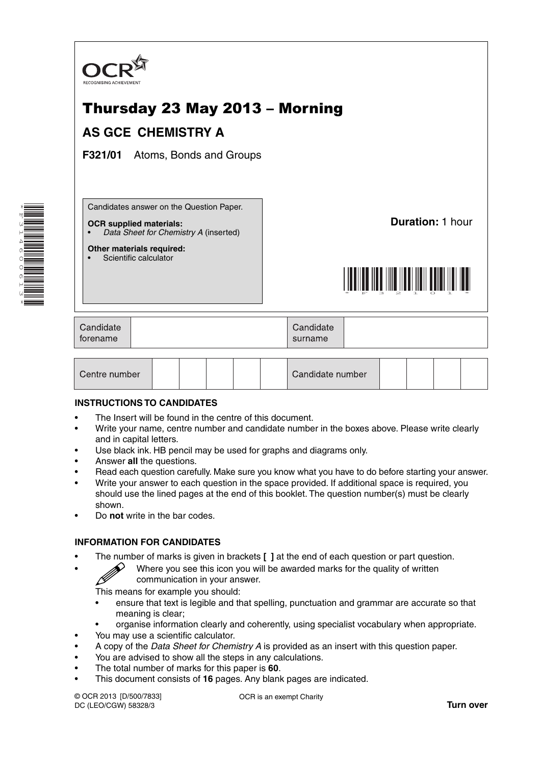

# Thursday 23 May 2013 – Morning

## **AS GCE CHEMISTRY A**

**F321/01** Atoms, Bonds and Groups

Candidates answer on the Question Paper.

#### **OCR supplied materials:**

**Other materials required:** Scientific calculator

• *Data Sheet for Chemistry A* (inserted)

**Duration:** 1 hour



| Candidate<br>forename |  | Candidate<br>surname |  |
|-----------------------|--|----------------------|--|
|-----------------------|--|----------------------|--|

| Centre number |  |  |  |  |  | Candidate number |  |  |  |  |  |
|---------------|--|--|--|--|--|------------------|--|--|--|--|--|
|---------------|--|--|--|--|--|------------------|--|--|--|--|--|

#### **INSTRUCTIONS TO CANDIDATES**

- The Insert will be found in the centre of this document.
- Write your name, centre number and candidate number in the boxes above. Please write clearly and in capital letters.
- Use black ink. HB pencil may be used for graphs and diagrams only.
- Answer **all** the questions.
- Read each question carefully. Make sure you know what you have to do before starting your answer.
- Write your answer to each question in the space provided. If additional space is required, you should use the lined pages at the end of this booklet. The question number(s) must be clearly shown.
- Do **not** write in the bar codes.

#### **INFORMATION FOR CANDIDATES**

- The number of marks is given in brackets **[ ]** at the end of each question or part question.
	- Where you see this icon you will be awarded marks for the quality of written communication in your answer.

This means for example you should:

- ensure that text is legible and that spelling, punctuation and grammar are accurate so that meaning is clear;
- organise information clearly and coherently, using specialist vocabulary when appropriate.
- You may use a scientific calculator.
- A copy of the *Data Sheet for Chemistry A* is provided as an insert with this question paper.
- You are advised to show all the steps in any calculations.
- The total number of marks for this paper is **60**.
- This document consists of **16** pages. Any blank pages are indicated.

© OCR 2013 [D/500/7833] DC (LEO/CGW) 58328/3

OCR is an exempt Charity

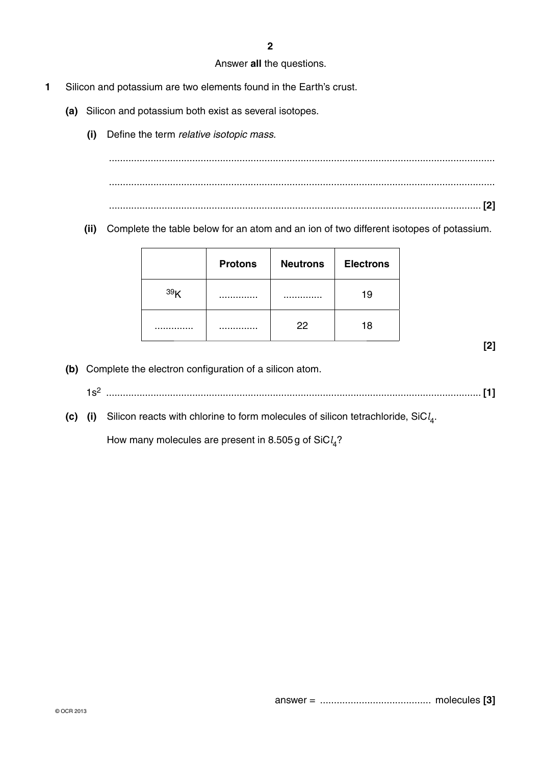**2**

#### Answer **all** the questions.

- **1** Silicon and potassium are two elements found in the Earth's crust.
	- **(a)** Silicon and potassium both exist as several isotopes.
		- **(i)** Define the term *relative isotopic mass.*

 ........................................................................................................................................... ........................................................................................................................................... ...................................................................................................................................... **[2]**

 **(ii)** Complete the table below for an atom and an ion of two different isotopes of potassium.

|                 | <b>Protons</b> | <b>Neutrons</b> | <b>Electrons</b> |
|-----------------|----------------|-----------------|------------------|
| 39 <sub>k</sub> | .              | . .<br>.        | 19               |
|                 | . .            | 22              | 18               |

**[2]**

- **(b)** Complete the electron configuration of a silicon atom.
	- 1s2 ....................................................................................................................................... **[1]**
- **(c) (i)** Silicon reacts with chlorine to form molecules of silicon tetrachloride, SiC*l* 4.

How many molecules are present in 8.505 g of SiC*l* 4?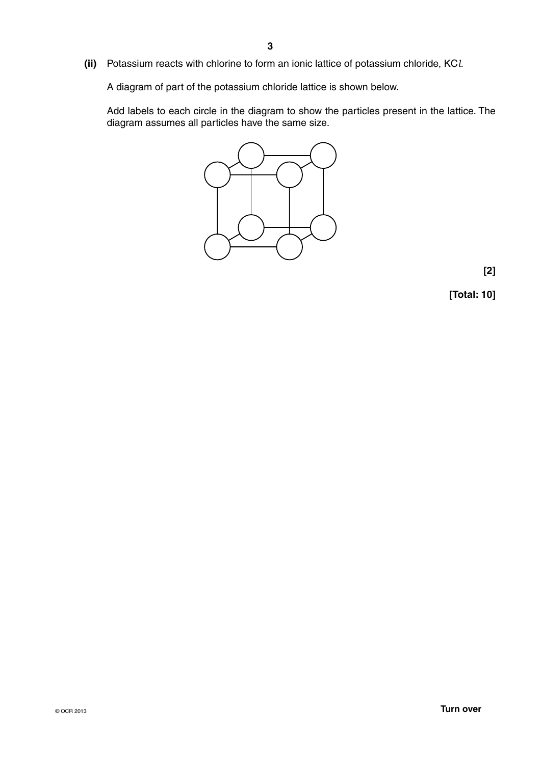**(ii)** Potassium reacts with chlorine to form an ionic lattice of potassium chloride, KC*l*.

A diagram of part of the potassium chloride lattice is shown below.

Add labels to each circle in the diagram to show the particles present in the lattice. The diagram assumes all particles have the same size.



**[2]**

**[Total: 10]**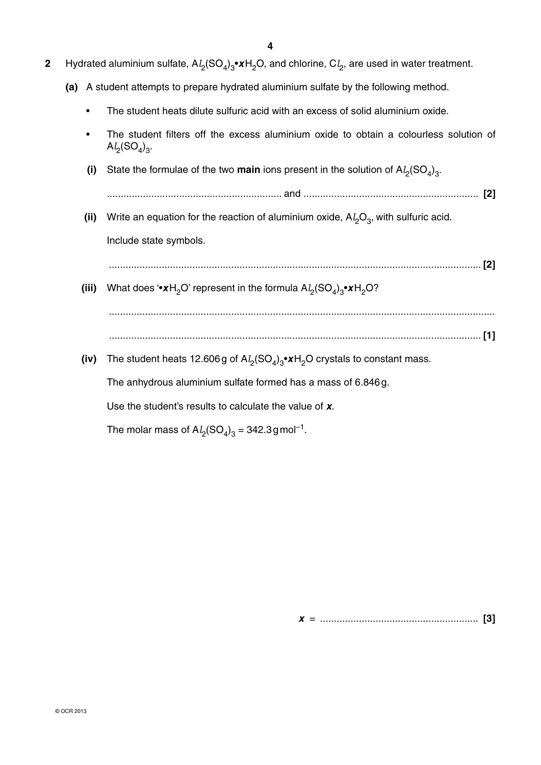- **4**
- **2** Hydrated aluminium sulfate,  $\mathsf{Al}_2(\mathsf{SO}_4)_3\bullet\mathsf{xH}_2\mathsf{O}$ , and chlorine,  $\mathsf{Cl}_2$ , are used in water treatment.
	- **(a)** A student attempts to prepare hydrated aluminium sulfate by the following method.
		- The student heats dilute sulfuric acid with an excess of solid aluminium oxide.
		- The student filters off the excess aluminium oxide to obtain a colourless solution of  $\mathsf{A}l_2(\mathsf{SO}_4)_3.$
- (i) State the formulae of the two main ions present in the solution of  $Al_2(SO_4)_3$ .

............................................................... and ............................................................... **[2]**

(ii) Write an equation for the reaction of aluminium oxide,  $Al_2O_3$ , with sulfuric acid. Include state symbols.

...................................................................................................................................... **[2]**

- **(iii)** What does '• $\mathbf{x}$ H<sub>2</sub>O' represent in the formula  $\mathsf{Al}_2(\mathsf{SO}_4)_3\text{-} \mathbf{x}$ H<sub>2</sub>O?
	- ........................................................................................................................................... ...................................................................................................................................... **[1]**
- (iv) The student heats 12.606g of  $\mathsf{A}l_2(\mathsf{SO}_4)_3\bullet\mathsf{xH}_2\mathsf{O}$  crystals to constant mass.

The anhydrous aluminium sulfate formed has a mass of 6.846 g.

Use the student's results to calculate the value of *x*.

The molar mass of  $\mathsf{A}l_2(\mathsf{SO}_4)_3 = 342.3\,\mathsf{g}\,\mathsf{mol}^{-1}.$ 

*x* = ......................................................... **[3]**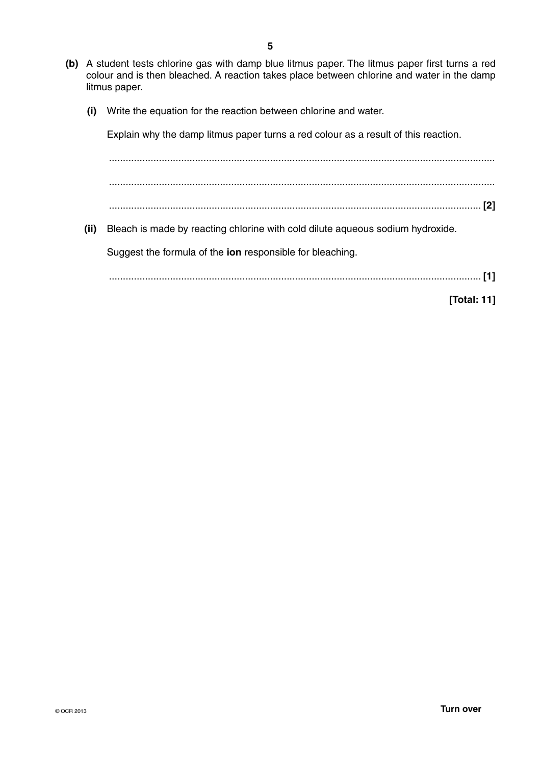- **(b)** A student tests chlorine gas with damp blue litmus paper. The litmus paper first turns a red colour and is then bleached. A reaction takes place between chlorine and water in the damp litmus paper.
	- **(i)** Write the equation for the reaction between chlorine and water.

Explain why the damp litmus paper turns a red colour as a result of this reaction.

 ........................................................................................................................................... ........................................................................................................................................... ...................................................................................................................................... **[2]**

 **(ii)** Bleach is made by reacting chlorine with cold dilute aqueous sodium hydroxide.

Suggest the formula of the **ion** responsible for bleaching.

...................................................................................................................................... **[1]**

**[Total: 11]**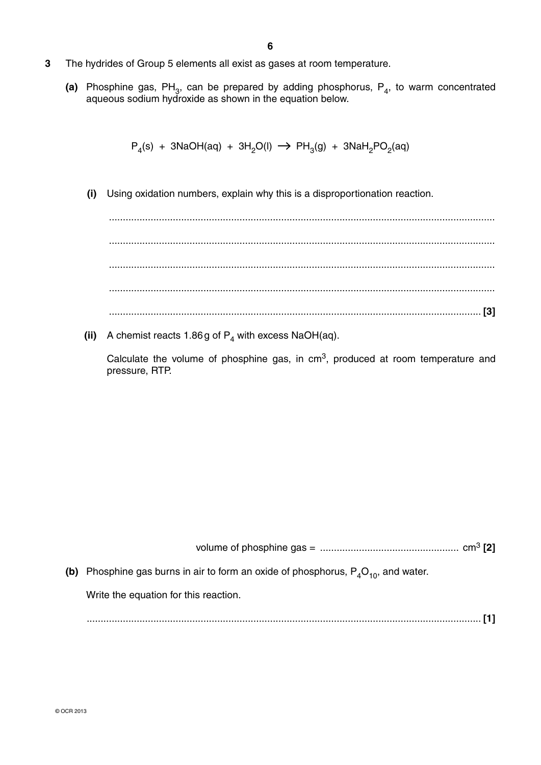- **6**
- **3** The hydrides of Group 5 elements all exist as gases at room temperature.
	- (a) Phosphine gas, PH<sub>3</sub>, can be prepared by adding phosphorus,  $P_4$ , to warm concentrated aqueous sodium hydroxide as shown in the equation below.

 $P_4(s)$  + 3NaOH(aq) + 3H<sub>2</sub>O(l)  $\rightarrow$  PH<sub>3</sub>(g) + 3NaH<sub>2</sub>PO<sub>2</sub>(aq)

 **(i)** Using oxidation numbers, explain why this is a disproportionation reaction.

 ........................................................................................................................................... ........................................................................................................................................... ........................................................................................................................................... ........................................................................................................................................... ...................................................................................................................................... **[3]**

(ii) A chemist reacts 1.86 g of  $P<sub>A</sub>$  with excess NaOH(aq).

Calculate the volume of phosphine gas, in cm<sup>3</sup>, produced at room temperature and pressure, RTP.

 volume of phosphine gas = .................................................. cm3 **[2] (b)** Phosphine gas burns in air to form an oxide of phosphorus,  $P_4O_{10}$ , and water. Write the equation for this reaction.

.............................................................................................................................................. **[1]**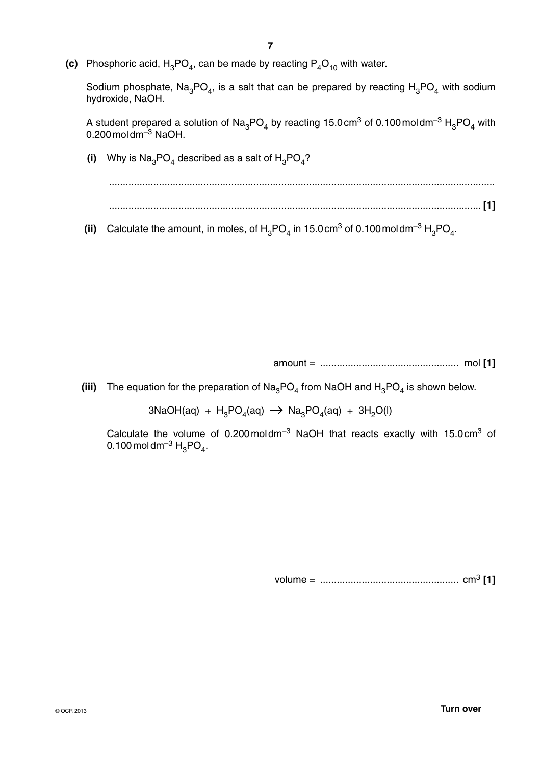**(c)** Phosphoric acid,  $H_3PO_4$ , can be made by reacting  $P_4O_{10}$  with water.

Sodium phosphate, Na<sub>3</sub>PO<sub>4</sub>, is a salt that can be prepared by reacting  $H_3PO_4$  with sodium hydroxide, NaOH.

A student prepared a solution of  $Na_3PO_4$  by reacting 15.0 cm<sup>3</sup> of 0.100 moldm<sup>-3</sup> H<sub>3</sub>PO<sub>4</sub> with  $0.200$  moldm $^{-3}$  NaOH.

(i) Why is  $Na<sub>3</sub>PO<sub>4</sub>$  described as a salt of  $H<sub>3</sub>PO<sub>4</sub>$ ?

 ........................................................................................................................................... ...................................................................................................................................... **[1]**

(ii) Calculate the amount, in moles, of  $H_3PO<sub>4</sub>$  in 15.0 cm<sup>3</sup> of 0.100 mol dm<sup>-3</sup>  $H_3PO<sub>4</sub>$ .

amount = .................................................. mol **[1]**

**(iii)** The equation for the preparation of  $\text{Na}_3\text{PO}_4$  from NaOH and  $\text{H}_3\text{PO}_4$  is shown below.

 $3NaOH(aq) + H_3PO_4(aq) \rightarrow Na_3PO_4(aq) + 3H_2O(l)$ 

Calculate the volume of 0.200 mol dm–3 NaOH that reacts exactly with 15.0 cm3 of 0.100 mol dm<sup>-3</sup>  $H_3PO_4$ .

volume = .................................................. cm3 **[1]**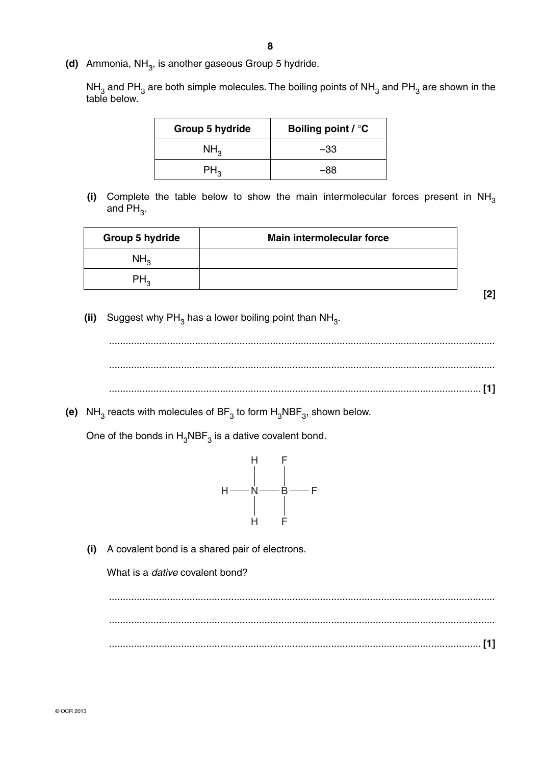(d) Ammonia, NH<sub>3</sub>, is another gaseous Group 5 hydride.

 $NH<sub>3</sub>$  and PH<sub>3</sub> are both simple molecules. The boiling points of NH<sub>3</sub> and PH<sub>3</sub> are shown in the table below.

| Group 5 hydride | Boiling point / °C |
|-----------------|--------------------|
| NH <sub>3</sub> | $-33$              |
| $PH_3$          | -88                |

**(i)** Complete the table below to show the main intermolecular forces present in  $NH<sub>3</sub>$ and  $PH_3$ .

| Group 5 hydride | Main intermolecular force |
|-----------------|---------------------------|
| NH <sub>2</sub> |                           |
| PH <sub>2</sub> |                           |

(ii) Suggest why PH<sub>3</sub> has a lower boiling point than  $NH<sub>3</sub>$ .

 ........................................................................................................................................... ........................................................................................................................................... ...................................................................................................................................... **[1]**

**[2]**

**(e)**  $NH_3$  reacts with molecules of  $BF_3$  to form  $H_3NBF_3$ , shown below.

One of the bonds in  $H_3NBF_3$  is a dative covalent bond.



 **(i)** A covalent bond is a shared pair of electrons.

What is a *dative* covalent bond?

 ........................................................................................................................................... ........................................................................................................................................... ...................................................................................................................................... **[1]**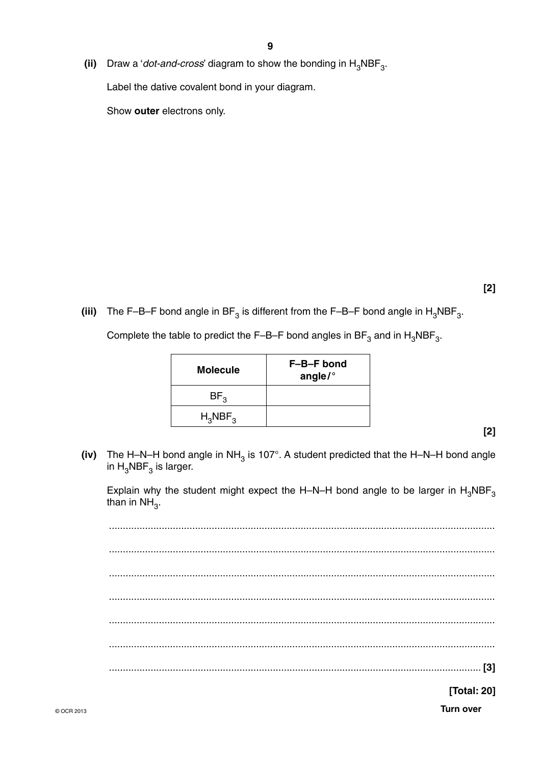(ii) Draw a '*dot-and-cross*' diagram to show the bonding in  $H_3NBF_3$ . Label the dative covalent bond in your diagram.

Show **outer** electrons only.

**(iii)** The F–B–F bond angle in BF<sub>3</sub> is different from the F–B–F bond angle in  $H_3NBF_3$ .

Complete the table to predict the F–B–F bond angles in  $BF_3$  and in  $H_3NBF_3$ .

| <b>Molecule</b>        | F-B-F bond<br>angle $\prime^{\circ}$ |
|------------------------|--------------------------------------|
| $BF_{\alpha}$          |                                      |
| $H_3$ NBF <sub>3</sub> |                                      |

**[2]**

(iv) The H–N–H bond angle in  $NH<sub>3</sub>$  is 107°. A student predicted that the H–N–H bond angle in  $H_3NBF_3$  is larger.

Explain why the student might expect the H–N–H bond angle to be larger in  $H_3NBF_3$ than in  $NH<sub>2</sub>$ .

 ........................................................................................................................................... ........................................................................................................................................... ........................................................................................................................................... ........................................................................................................................................... ........................................................................................................................................... ........................................................................................................................................... ...................................................................................................................................... **[3]**

**[Total: 20]**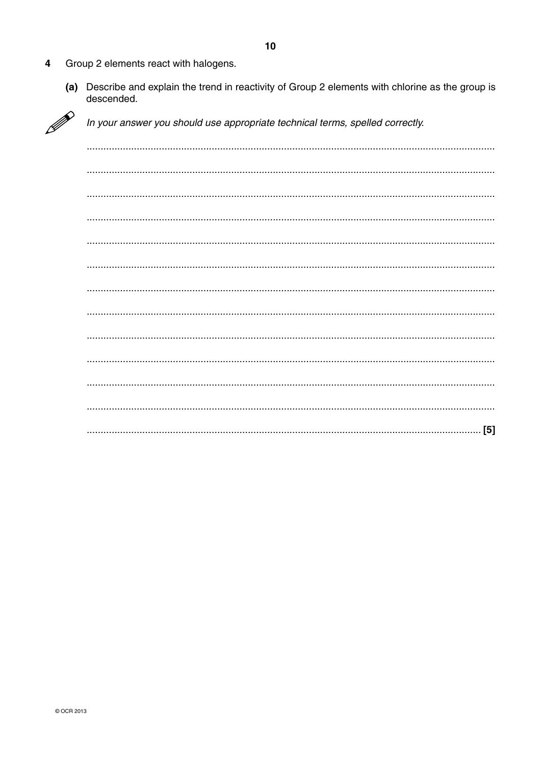- Group 2 elements react with halogens.  $\Delta$ 
	- (a) Describe and explain the trend in reactivity of Group 2 elements with chlorine as the group is descended.

In your answer you should use appropriate technical terms, spelled correctly.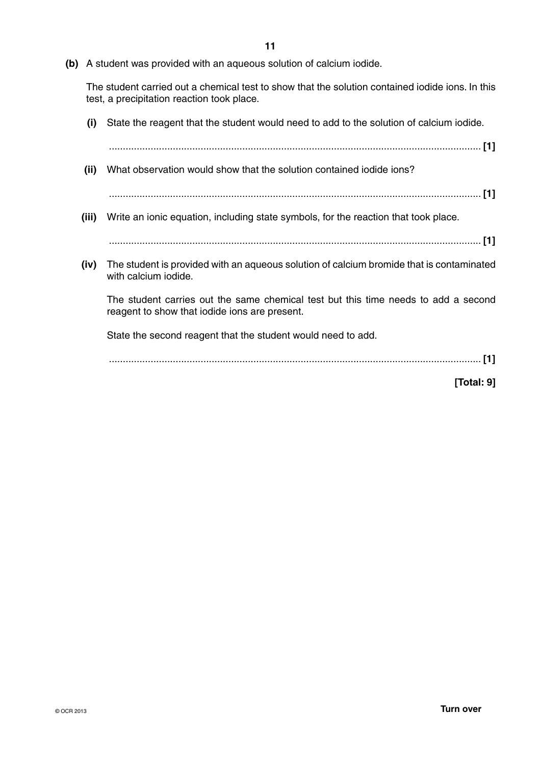**(b)** A student was provided with an aqueous solution of calcium iodide.

The student carried out a chemical test to show that the solution contained iodide ions. In this test, a precipitation reaction took place.

 **(i)** State the reagent that the student would need to add to the solution of calcium iodide.

 ...................................................................................................................................... **[1] (ii)** What observation would show that the solution contained iodide ions?

- ...................................................................................................................................... **[1]**
- **(iii)** Write an ionic equation, including state symbols, for the reaction that took place.

...................................................................................................................................... **[1]**

 **(iv)** The student is provided with an aqueous solution of calcium bromide that is contaminated with calcium iodide.

The student carries out the same chemical test but this time needs to add a second reagent to show that iodide ions are present.

State the second reagent that the student would need to add.

...................................................................................................................................... **[1]**

**[Total: 9]**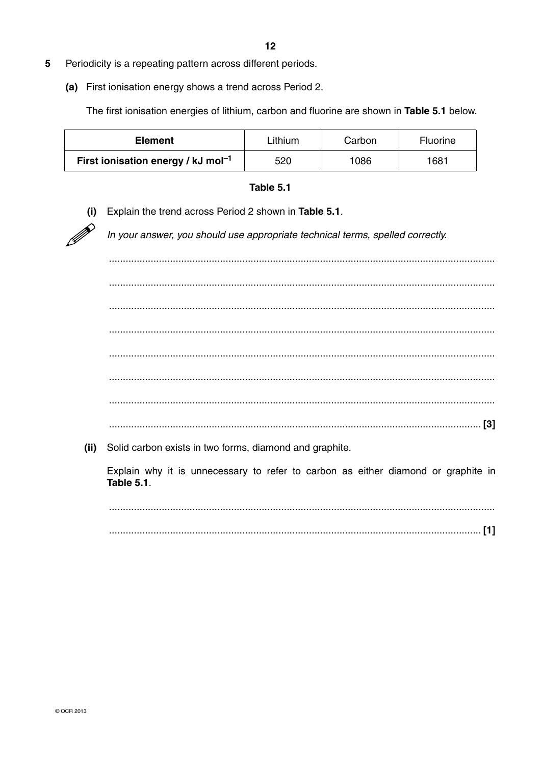- Periodicity is a repeating pattern across different periods.  $5\overline{)}$ 
	- (a) First ionisation energy shows a trend across Period 2.

The first ionisation energies of lithium, carbon and fluorine are shown in Table 5.1 below.

| <b>Element</b>                                   | Lithium | Carbon | <b>Fluorine</b> |
|--------------------------------------------------|---------|--------|-----------------|
| First ionisation energy / $kJ$ mol <sup>-1</sup> | 520     | 1086   | 1681            |

|      | Table 5.1                                                                                              |
|------|--------------------------------------------------------------------------------------------------------|
| (i)  | Explain the trend across Period 2 shown in Table 5.1.                                                  |
| k J  | In your answer, you should use appropriate technical terms, spelled correctly.                         |
|      |                                                                                                        |
|      |                                                                                                        |
|      |                                                                                                        |
|      |                                                                                                        |
|      |                                                                                                        |
|      |                                                                                                        |
|      |                                                                                                        |
|      |                                                                                                        |
| (ii) | Solid carbon exists in two forms, diamond and graphite.                                                |
|      | Explain why it is unnecessary to refer to carbon as either diamond or graphite in<br><b>Table 5.1.</b> |
|      |                                                                                                        |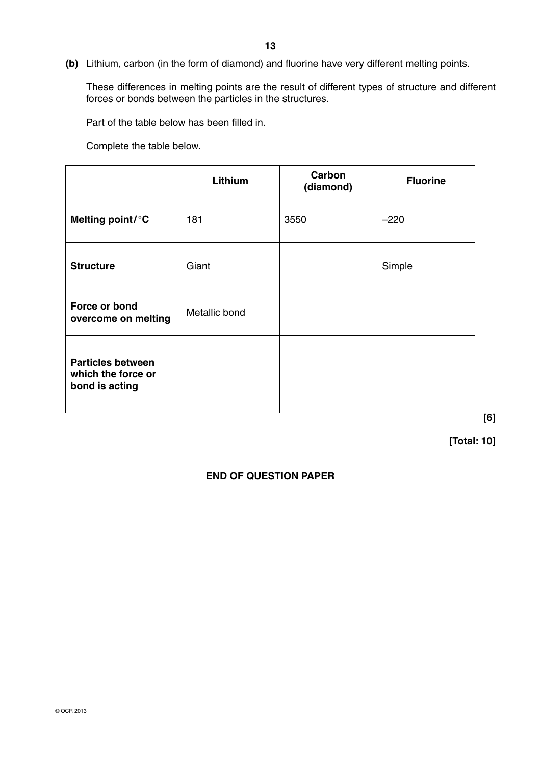**(b)** Lithium, carbon (in the form of diamond) and fluorine have very different melting points.

These differences in melting points are the result of different types of structure and different forces or bonds between the particles in the structures.

Part of the table below has been filled in.

Complete the table below.

|                                                                  | Lithium       | Carbon<br>(diamond) | <b>Fluorine</b> |
|------------------------------------------------------------------|---------------|---------------------|-----------------|
| Melting point/°C                                                 | 181           | 3550                | $-220$          |
| <b>Structure</b>                                                 | Giant         |                     | Simple          |
| Force or bond<br>overcome on melting                             | Metallic bond |                     |                 |
| <b>Particles between</b><br>which the force or<br>bond is acting |               |                     |                 |

**[6]**

**[Total: 10]**

### **END OF QUESTION PAPER**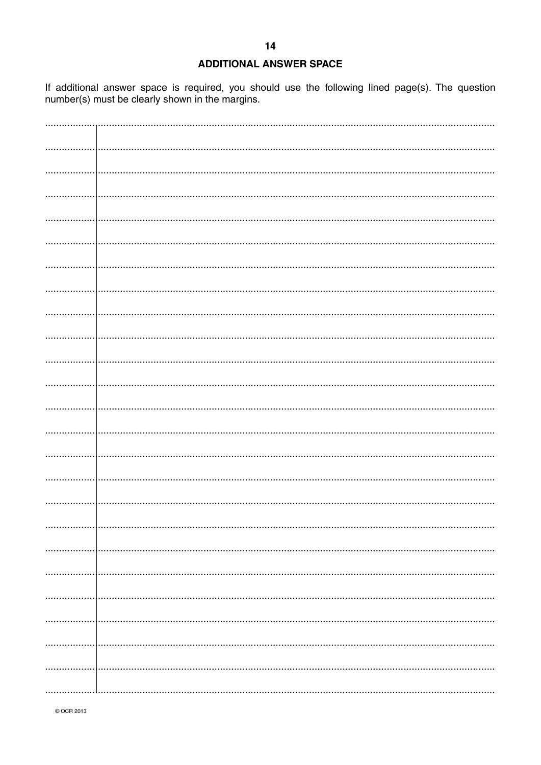#### **ADDITIONAL ANSWER SPACE**

If additional answer space is required, you should use the following lined page(s). The question number(s) must be clearly shown in the margins.

© OCR 2013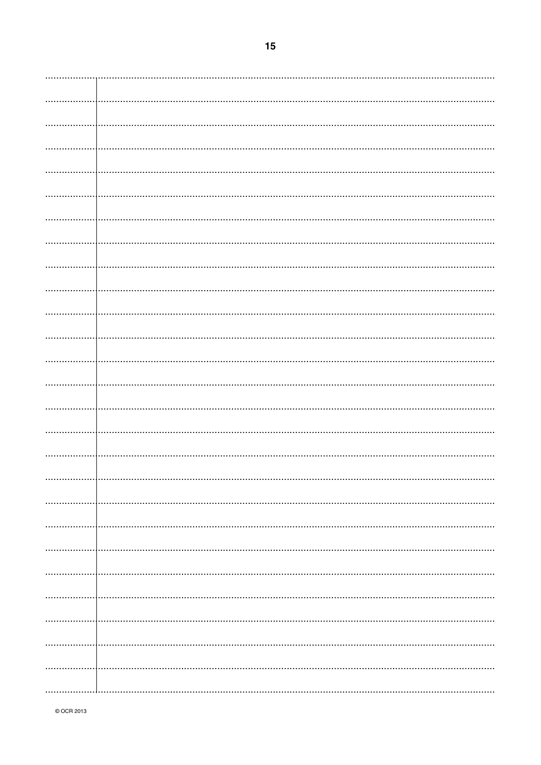. . . . . . . . . . . . . . ,我们就会在这里,我们就会在这里,我们就会在这里,我们就会在这里,我们就会在这里,我们就会在这里,我们就会在这里,我们就会在这里,我们就会在这里,我们就会在这里 ................. .................. .................